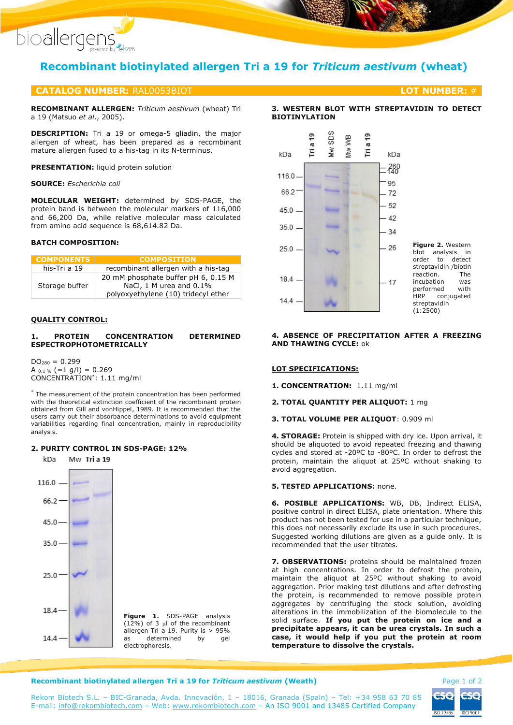

# **Recombinant biotinylated allergen Tri a 19 for** *Triticum aestivum* **(wheat)**

# **CATALOG NUMBER:** RAL0053BIOT **LOT NUMBER:** #

**RECOMBINANT ALLERGEN:** *Triticum aestivum* (wheat) Tri a 19 (Matsuo *et al*., 2005).

**DESCRIPTION:** Tri a 19 or omega-5 gliadin, the major allergen of wheat, has been prepared as a recombinant mature allergen fused to a his-tag in its N-terminus.

**PRESENTATION:** liquid protein solution

#### **SOURCE:** *Escherichia coli*

**MOLECULAR WEIGHT:** determined by SDS-PAGE, the protein band is between the molecular markers of 116,000 and 66,200 Da, while relative molecular mass calculated from amino acid sequence is 68,614.82 Da.

### **BATCH COMPOSITION:**

| <b>COMPONENTS</b> | <b>COMPOSITION</b>                                                                                    |
|-------------------|-------------------------------------------------------------------------------------------------------|
| his-Tri a 19      | recombinant allergen with a his-tag                                                                   |
| Storage buffer    | 20 mM phosphate buffer pH 6, 0.15 M<br>NaCl, 1 M urea and 0.1%<br>polyoxyethylene (10) tridecyl ether |

# **QUALITY CONTROL:**

#### **1. PROTEIN CONCENTRATION DETERMINED ESPECTROPHOTOMETRICALLY**

 $DO<sub>280</sub> = 0.299$ A  $_{0.1\%}$  (=1 g/l) = 0.269 CONCENTRATION\* : 1.11 mg/ml

\* The measurement of the protein concentration has been performed with the theoretical extinction coefficient of the recombinant protein obtained from Gill and vonHippel, 1989. It is recommended that the users carry out their absorbance determinations to avoid equipment variabilities regarding final concentration, mainly in reproducibility analysis.

# **2. PURITY CONTROL IN SDS-PAGE: 12%**



# **3. WESTERN BLOT WITH STREPTAVIDIN TO DETECT BIOTINYLATION**



**Figure 2.** Western blot analysis in order to detect streptavidin /biotin reaction. The incubation was performed with<br>HRP conjugated conjugated streptavidin (1:2500)

#### **4. ABSENCE OF PRECIPITATION AFTER A FREEZING AND THAWING CYCLE:** ok

#### **LOT SPECIFICATIONS:**

**1. CONCENTRATION:** 1.11 mg/ml

**2. TOTAL QUANTITY PER ALIQUOT:** 1 mg

# **3. TOTAL VOLUME PER ALIQUOT**: 0.909 ml

**4. STORAGE:** Protein is shipped with dry ice. Upon arrival, it should be aliquoted to avoid repeated freezing and thawing cycles and stored at -20ºC to -80ºC. In order to defrost the protein, maintain the aliquot at 25ºC without shaking to avoid aggregation.

# **5. TESTED APPLICATIONS:** none.

**6. POSIBLE APPLICATIONS:** WB, DB, Indirect ELISA, positive control in direct ELISA, plate orientation. Where this product has not been tested for use in a particular technique, this does not necessarily exclude its use in such procedures. Suggested working dilutions are given as a guide only. It is recommended that the user titrates.

**7. OBSERVATIONS:** proteins should be maintained frozen at high concentrations. In order to defrost the protein, maintain the aliquot at 25ºC without shaking to avoid aggregation. Prior making test dilutions and after defrosting the protein, is recommended to remove possible protein aggregates by centrifuging the stock solution, avoiding alterations in the immobilization of the biomolecule to the solid surface. **If you put the protein on ice and a precipitate appears, it can be urea crystals. In such a case, it would help if you put the protein at room temperature to dissolve the crystals.**

#### **Recombinant biotinylated allergen Tri a 19 for** *Triticum aestivum* **(Weath) <b>Page 1 of 2** Page 1 of 2

ISO 13485 ISO 9001

Rekom Biotech S.L. – BIC-Granada, Avda. Innovación, 1 – 18016, Granada (Spain) – Tel: +34 958 63 70 85 E-mail: [info@rekombiotech.com](mailto:info@rekombiotech.com) – Web: [www.rekombiotech.com](file:///D:/Dropbox/Rekom/pdfs/www.rekombiotech.com) – An ISO 9001 and 13485 Certified Company